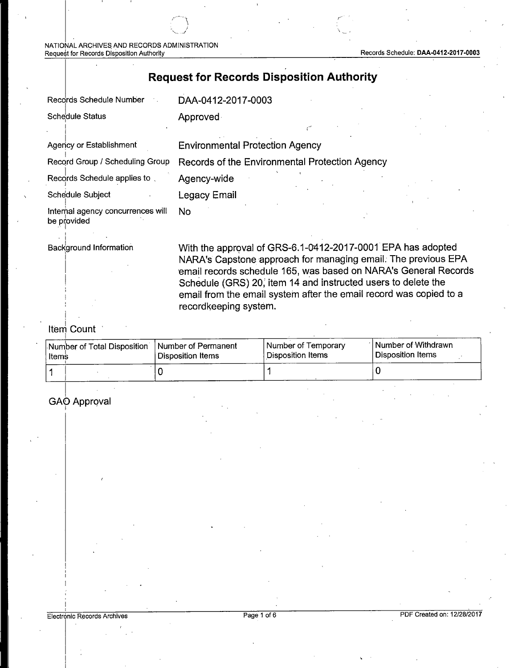NATIONAL ARCHIVES AND RECORDS ADMINISTRATION Request for Records Disposition Authority **Records Schedule: DAA-0412-2017-0003** Records Schedule: DAA-0412-2017-0003

### **Request for Records Disposition Authority**

| Records Schedule Number                          | DAA-0412-2017-0003                             |
|--------------------------------------------------|------------------------------------------------|
| <b>Schedule Status</b>                           | Approved                                       |
| Agency or Establishment                          | <b>Environmental Protection Agency</b>         |
| Record Group / Scheduling Group                  | Records of the Environmental Protection Agency |
| Records Schedule applies to                      | Agency-wide                                    |
| Schedule Subject                                 | Legacy Email                                   |
| Internal agency concurrences will<br>be provided | No                                             |

i Background Information

With the approval of GRS-6.1-0412-2017-0001 EPA has adopted NARA's Capstone approach for managing email. The previous EPA email records schedule 165, was based on NARA's General Records Schedule (GRS) 20, item 14 and instructed users to delete the email from the email system after the email record was copied to a recordkeeping system.

### ltem Count

I

| ∣ltemṡ | Number of Total Disposition | Number of Permanent<br>Disposition Items | l Number of Temporary<br>l Disposition Items | <b>Number of Withdrawn</b><br><sup>I</sup> Disposition Items |
|--------|-----------------------------|------------------------------------------|----------------------------------------------|--------------------------------------------------------------|
|        |                             |                                          |                                              |                                                              |

#### I GAO Approval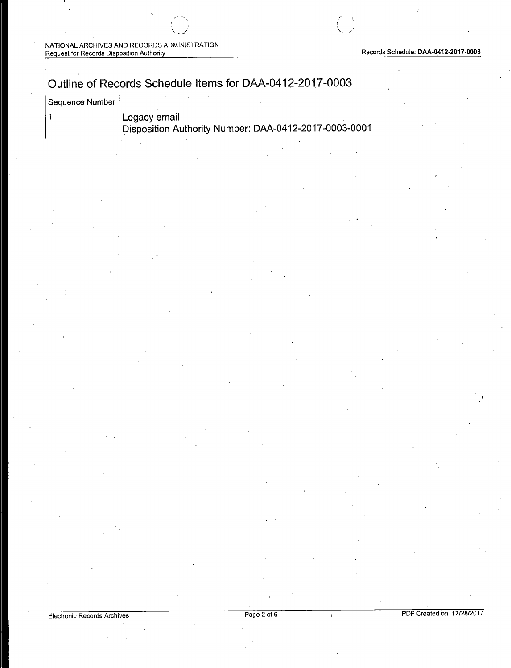$\|$ 

## Outline of Records Schedule Items for DAA-0412-2017-0003

| <sup>∖</sup> Sequence Number |
|------------------------------|
|------------------------------|

 $\parallel$ 

1 **Legacy email Disposition Authority Number: DM-0412-2017-0003-0001** 

|  | ≓lectronic Records Archives |  |
|--|-----------------------------|--|
|  |                             |  |

Page 2 of 6 **PDF** Created on: 12/28/2017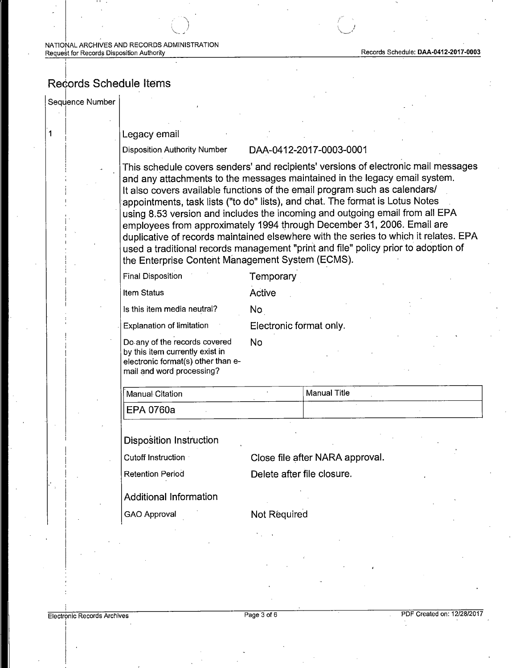#### i Records Schedule Items

Sequence Number

'

I

 $\overline{\mathbf{1}}$ 

#### Legacy email

 $\mathcal{L}^{(1)}$ 

#### Disposition Authority Number DAA-0412-2017-0003-0001

*''..,,\_\_\_..,4* 

) and the set of the set of the set of the set of the set of the set of the set of the set of the set of the set of the set of the set of the set of the set of the set of the set of the set of the set of the set of the se

This schedule covers senders' and recipients' versions of electronic mail messages and any attachments to the messages maintained in the legacy email system. It also covers available functions of the email program such as calendars/ appointments, task lists ("to do" lists), and chat. The format is Lotus Notes using 8.53 version and includes the incoming and outgoing email from all EPA employees from approximately 1994 through December 31, 2006. Email are duplicative of records maintained elsewhere with the series to which it relates. EPA used a traditional records management "print and file" policy prior to adoption of the Enterprise Content Management System (ECMS).

| <b>Final Disposition</b>                                                                                                            | Temporary               |
|-------------------------------------------------------------------------------------------------------------------------------------|-------------------------|
| <b>Item Status</b>                                                                                                                  | Active                  |
| Is this item media neutral?                                                                                                         | No.                     |
| <b>Explanation of limitation</b>                                                                                                    | Electronic format only. |
| Do any of the records covered<br>by this item currently exist in<br>electronic format(s) other than e-<br>mail and word processing? | Nο                      |

| ∣∣ Manual Citation | Manual Title |
|--------------------|--------------|
| ⅡEPA 0760a         |              |

Disposition Instruction

Cutoff Instruction **Close file after NARA approval.** 

Retention Period **Delete after file closure.** 

Additional Information

GAO Approval Not Required

I I j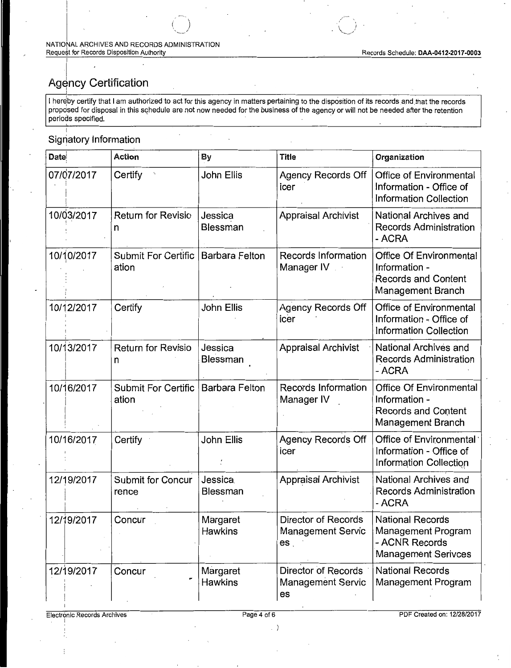### Agency Certification

I hereby certify that I am authorized to act for this agency in matters pertaining to the disposition of its records and that the records proposed for disposal in this schedule are not now needed for the business of the agency or will not be needed after the retention periods specified.

### Signatory Information

| <b>Date</b> | <b>Action</b>                       | By                         | <b>Title</b>                                                       | Organization                                                                                       |
|-------------|-------------------------------------|----------------------------|--------------------------------------------------------------------|----------------------------------------------------------------------------------------------------|
| 07/07/2017  | Certify                             | John Ellis                 | <b>Agency Records Off</b><br>icer                                  | Office of Environmental<br>Information - Office of<br><b>Information Collection</b>                |
| 10/03/2017  | <b>Return for Revisio</b><br>n      | Jessica<br><b>Blessman</b> | <b>Appraisal Archivist</b>                                         | National Archives and<br><b>Records Administration</b><br>- ACRA                                   |
| 10/10/2017  | <b>Submit For Certific</b><br>ation | <b>Barbara Felton</b>      | Records Information<br>Manager IV                                  | Office Of Environmental<br>Information -<br><b>Records and Content</b><br>Management Branch        |
| 10/12/2017  | Certify                             | John Ellis                 | <b>Agency Records Off</b><br>icer                                  | Office of Environmental<br>Information - Office of<br><b>Information Collection</b>                |
| 10/13/2017  | <b>Return for Revisio</b><br>n      | Jessica<br>Blessman        | <b>Appraisal Archivist</b>                                         | National Archives and<br>Records Administration<br>- ACRA                                          |
| 10/16/2017  | Submit For Certific<br>ation        | <b>Barbara Felton</b>      | Records Information<br>Manager IV                                  | <b>Office Of Environmental</b><br>Information -<br><b>Records and Content</b><br>Management Branch |
| 10/16/2017  | Certify                             | John Ellis                 | <b>Agency Records Off</b><br>icer                                  | Office of Environmental<br>Information - Office of<br>Information Collection                       |
| 12/19/2017  | <b>Submit for Concur</b><br>rence   | <b>Jessica</b><br>Blessman | <b>Appraisal Archivist</b>                                         | National Archives and<br><b>Records Administration</b><br>- ACRA                                   |
| 12/19/2017  | Concur                              | Margaret<br><b>Hawkins</b> | Director of Records<br><b>Management Servic</b><br>es <sub>1</sub> | <b>National Records</b><br>Management Program<br>- ACNR Records<br><b>Management Serivces</b>      |
| 12/19/2017  | Concur                              | Margaret<br><b>Hawkins</b> | Director of Records<br><b>Management Servic</b><br>es              | <b>National Records</b><br>Management Program                                                      |

 $\langle \rangle$ 

PDF Created on: 12/28/2017